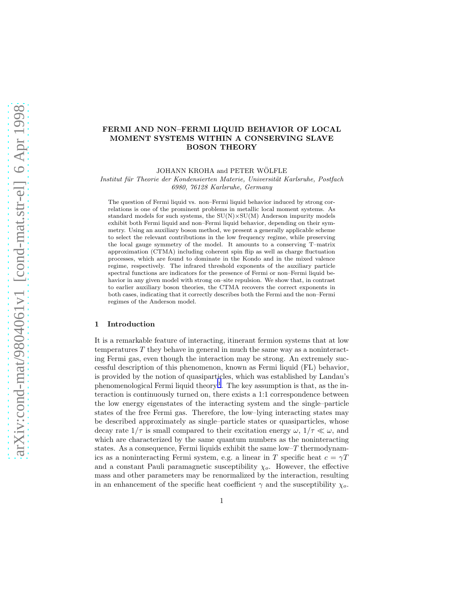# FERMI AND NON–FERMI LIQUID BEHAVIOR OF LOCAL MOMENT SYSTEMS WITHIN A CONSERVING SLAVE BOSON THEORY

JOHANN KROHA and PETER WÖLFLE

Institut für Theorie der Kondensierten Materie, Universität Karlsruhe, Postfach 6980, 76128 Karlsruhe, Germany

The question of Fermi liquid vs. non–Fermi liquid behavior induced by strong correlations is one of the prominent problems in metallic local moment systems. As standard models for such systems, the  $SU(N) \times SU(M)$  Anderson impurity models exhibit both Fermi liquid and non–Fermi liquid behavior, depending on their symmetry. Using an auxiliary boson method, we present a generally applicable scheme to select the relevant contributions in the low frequency regime, while preserving the local gauge symmetry of the model. It amounts to a conserving T–matrix approximation (CTMA) including coherent spin flip as well as charge fluctuation processes, which are found to dominate in the Kondo and in the mixed valence regime, respectively. The infrared threshold exponents of the auxiliary particle spectral functions are indicators for the presence of Fermi or non–Fermi liquid behavior in any given model with strong on–site repulsion. We show that, in contrast to earlier auxiliary boson theories, the CTMA recovers the correct exponents in both cases, indicating that it correctly describes both the Fermi and the non–Fermi regimes of the Anderson model.

#### 1 Introduction

It is a remarkable feature of interacting, itinerant fermion systems that at low temperatures  $T$  they behave in general in much the same way as a noninteracting Fermi gas, even though the interaction may be strong. An extremely successful description of this phenomenon, known as Fermi liquid (FL) behavior, is provided by the notion of quasiparticles, which was established by Landau's phenomenological Fermi liquid theory<sup>[1](#page-19-0)</sup>. The key assumption is that, as the interaction is continuously turned on, there exists a 1:1 correspondence between the low energy eigenstates of the interacting system and the single–particle states of the free Fermi gas. Therefore, the low–lying interacting states may be described approximately as single–particle states or quasiparticles, whose decay rate  $1/\tau$  is small compared to their excitation energy  $\omega$ ,  $1/\tau \ll \omega$ , and which are characterized by the same quantum numbers as the noninteracting states. As a consequence, Fermi liquids exhibit the same low– $T$  thermodynamics as a noninteracting Fermi system, e.g. a linear in T specific heat  $c = \gamma T$ and a constant Pauli paramagnetic susceptibility  $\chi_o$ . However, the effective mass and other parameters may be renormalized by the interaction, resulting in an enhancement of the specific heat coefficient  $\gamma$  and the susceptibility  $\chi_o$ .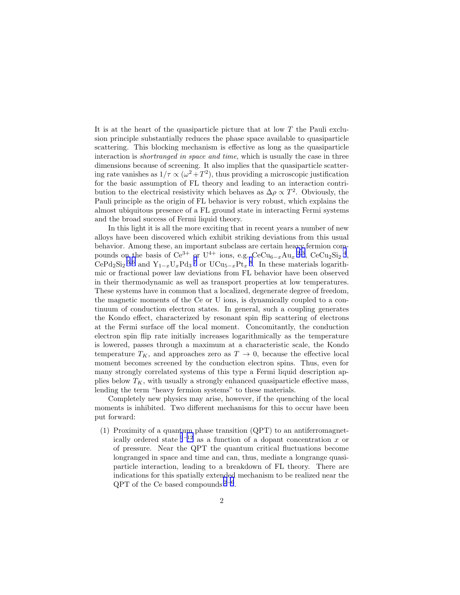It is at the heart of the quasiparticle picture that at low T the Pauli exclusion principle substantially reduces the phase space available to quasiparticle scattering. This blocking mechanism is effective as long as the quasiparticle interaction is *shortranged in space and time*, which is usually the case in three dimensions because of screening. It also implies that the quasiparticle scattering rate vanishes as  $1/\tau \propto (\omega^2 + T^2)$ , thus providing a microscopic justification for the basic assumption of FL theory and leading to an interaction contribution to the electrical resistivity which behaves as  $\Delta \rho \propto T^2$ . Obviously, the Pauli principle as the origin of FL behavior is very robust, which explains the almost ubiquitous presence of a FL ground state in interacting Fermi systems and the broad success of Fermi liquid theory.

In this light it is all the more exciting that in recent years a number of new alloys have been discovered which exhibit striking deviations from this usual behavior. Among these, an important subclass are certain heavy fermion compounds on the basis of  $Ce^{3+}$  $Ce^{3+}$  $Ce^{3+}$  or  $U^{4+}$  $U^{4+}$  $U^{4+}$  ions, e.g.  $CeCu_{6-x}Au_{x}^{2,3}$  $CeCu_{6-x}Au_{x}^{2,3}$  $CeCu_{6-x}Au_{x}^{2,3}$ ,  $CeCu_{2}Si_{2}^{4}$ ,  $\text{CePd}_2\text{Si}_2$ <sup>[5](#page-19-0),[6](#page-19-0)</sup> and  $\text{Y}_{1-x}\text{U}_x\text{Pd}_3$ <sup>[7](#page-19-0)</sup> or  $\text{UCu}_{5-x}\text{Pt}_x$ <sup>[8](#page-20-0)</sup>. In these materials logarithmic or fractional power law deviations from FL behavior have been observed in their thermodynamic as well as transport properties at low temperatures. These systems have in common that a localized, degenerate degree of freedom, the magnetic moments of the Ce or U ions, is dynamically coupled to a continuum of conduction electron states. In general, such a coupling generates the Kondo effect, characterized by resonant spin flip scattering of electrons at the Fermi surface off the local moment. Concomitantly, the conduction electron spin flip rate initially increases logarithmically as the temperature is lowered, passes through a maximum at a characteristic scale, the Kondo temperature  $T_K$ , and approaches zero as  $T \to 0$ , because the effective local moment becomes screened by the conduction electron spins. Thus, even for many strongly correlated systems of this type a Fermi liquid description applies below  $T_K$ , with usually a strongly enhanced quasiparticle effective mass, lending the term "heavy fermion systems" to these materials.

Completely new physics may arise, however, if the quenching of the local moments is inhibited. Two different mechanisms for this to occur have been put forward:

(1) Proximity of a quantum phase transition (QPT) to an antiferromagnetically ordered state  $9-12$  $9-12$  $9-12$  as a function of a dopant concentration x or of pressure. Near the QPT the quantum critical fluctuations become longranged in space and time and can, thus, mediate a longrange quasiparticle interaction, leading to a breakdown of FL theory. There are indications for this spatially extended mechanism to be realized near the  $QPT$  of the Ce based compounds  $2^{-6}$  $2^{-6}$  $2^{-6}$  $2^{-6}$ .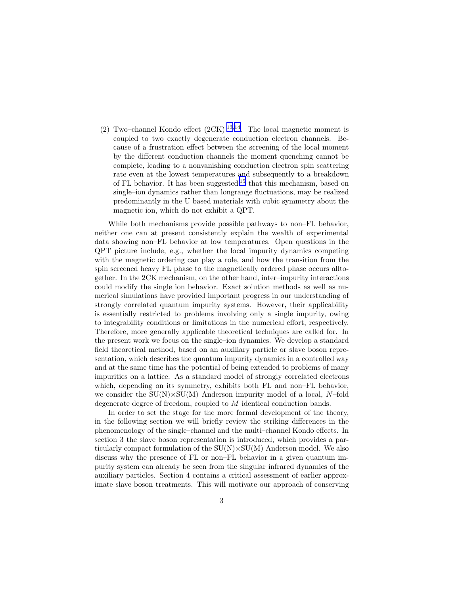(2) Two–channel Kondo effect (2CK) [13](#page-20-0),[14](#page-20-0). The local magnetic moment is coupled to two exactly degenerate conduction electron channels. Because of a frustration effect between the screening of the local moment by the different conduction channels the moment quenching cannot be complete, leading to a nonvanishing conduction electron spin scattering rate even at the lowest temperatures and subsequently to a breakdown of FL behavior. It has been suggested  $15$  that this mechanism, based on single–ion dynamics rather than longrange fluctuations, may be realized predominantly in the U based materials with cubic symmetry about the magnetic ion, which do not exhibit a QPT.

While both mechanisms provide possible pathways to non–FL behavior, neither one can at present consistently explain the wealth of experimental data showing non–FL behavior at low temperatures. Open questions in the QPT picture include, e.g., whether the local impurity dynamics competing with the magnetic ordering can play a role, and how the transition from the spin screened heavy FL phase to the magnetically ordered phase occurs alltogether. In the 2CK mechanism, on the other hand, inter–impurity interactions could modify the single ion behavior. Exact solution methods as well as numerical simulations have provided important progress in our understanding of strongly correlated quantum impurity systems. However, their applicability is essentially restricted to problems involving only a single impurity, owing to integrability conditions or limitations in the numerical effort, respectively. Therefore, more generally applicable theoretical techniques are called for. In the present work we focus on the single–ion dynamics. We develop a standard field theoretical method, based on an auxiliary particle or slave boson representation, which describes the quantum impurity dynamics in a controlled way and at the same time has the potential of being extended to problems of many impurities on a lattice. As a standard model of strongly correlated electrons which, depending on its symmetry, exhibits both FL and non–FL behavior, we consider the  $SU(N) \times SU(M)$  Anderson impurity model of a local, N-fold degenerate degree of freedom, coupled to M identical conduction bands.

In order to set the stage for the more formal development of the theory, in the following section we will briefly review the striking differences in the phenomenology of the single–channel and the multi–channel Kondo effects. In section 3 the slave boson representation is introduced, which provides a particularly compact formulation of the  $SU(N) \times SU(M)$  Anderson model. We also discuss why the presence of FL or non–FL behavior in a given quantum impurity system can already be seen from the singular infrared dynamics of the auxiliary particles. Section 4 contains a critical assessment of earlier approximate slave boson treatments. This will motivate our approach of conserving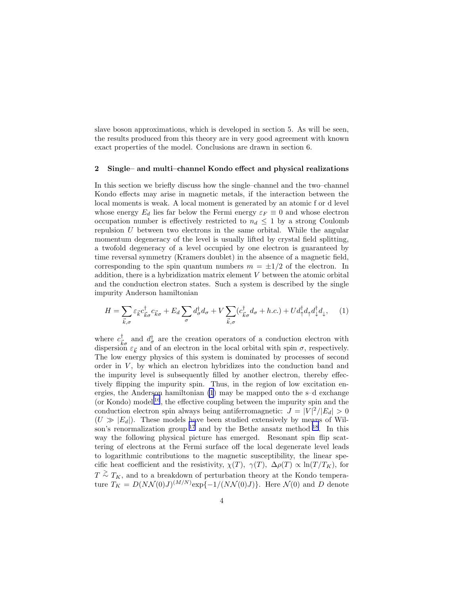<span id="page-3-0"></span>slave boson approximations, which is developed in section 5. As will be seen, the results produced from this theory are in very good agreement with known exact properties of the model. Conclusions are drawn in section 6.

### 2 Single– and multi–channel Kondo effect and physical realizations

In this section we briefly discuss how the single–channel and the two–channel Kondo effects may arise in magnetic metals, if the interaction between the local moments is weak. A local moment is generated by an atomic f or d level whose energy  $E_d$  lies far below the Fermi energy  $\varepsilon_F \equiv 0$  and whose electron occupation number is effectively restricted to  $n_d \leq 1$  by a strong Coulomb repulsion  $U$  between two electrons in the same orbital. While the angular momentum degeneracy of the level is usually lifted by crystal field splitting, a twofold degeneracy of a level occupied by one electron is guaranteed by time reversal symmetry (Kramers doublet) in the absence of a magnetic field, corresponding to the spin quantum numbers  $m = \pm 1/2$  of the electron. In addition, there is a hybridization matrix element V between the atomic orbital and the conduction electron states. Such a system is described by the single impurity Anderson hamiltonian

$$
H = \sum_{\vec{k},\sigma} \varepsilon_{\vec{k}} c_{\vec{k}\sigma}^{\dagger} c_{\vec{k}\sigma} + E_d \sum_{\sigma} d_{\sigma}^{\dagger} d_{\sigma} + V \sum_{\vec{k},\sigma} (c_{\vec{k}\sigma}^{\dagger} d_{\sigma} + h.c.) + U d_{\uparrow}^{\dagger} d_{\uparrow} d_{\downarrow}^{\dagger} d_{\downarrow}, \tag{1}
$$

where  $c_{\overline{i}}^{\dagger}$  $\frac{1}{k\sigma}$  and  $d_{\sigma}^{\dagger}$  are the creation operators of a conduction electron with dispersion  $\varepsilon_{\vec{k}}$  and of an electron in the local orbital with spin  $\sigma$ , respectively. The low energy physics of this system is dominated by processes of second order in  $V$ , by which an electron hybridizes into the conduction band and the impurity level is subsequently filled by another electron, thereby effectively flipping the impurity spin. Thus, in the region of low excitation energies, the Anderson hamiltonian (1) may be mapped onto the s–d exchange (or Kondo) model  $^{16}$  $^{16}$  $^{16}$ , the effective coupling between the impurity spin and the conduction electron spin always being antiferromagnetic:  $J = |V|^2/|E_d| > 0$  $(U \gg |E_d|)$ . These models have been studied extensively by means of Wilson's renormalization group  $^{17}$  $^{17}$  $^{17}$  and by the Bethe ansatz method  $^{18}$  $^{18}$  $^{18}$ . In this way the following physical picture has emerged. Resonant spin flip scattering of electrons at the Fermi surface off the local degenerate level leads to logarithmic contributions to the magnetic susceptibility, the linear specific heat coefficient and the resistivity,  $\chi(T)$ ,  $\gamma(T)$ ,  $\Delta \rho(T) \propto \ln(T/T_K)$ , for  $T \n\geq T_K$ , and to a breakdown of perturbation theory at the Kondo temperature  $T_K = D(NN(0)J)^{(M/N)} \exp\{-1/(NN(0)J)\}\.$  Here  $N(0)$  and D denote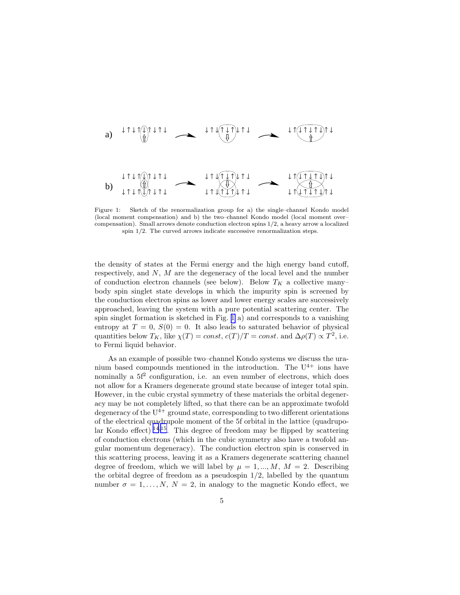<span id="page-4-0"></span>a) b)

Figure 1: Sketch of the renormalization group for a) the single–channel Kondo model (local moment compensation) and b) the two–channel Kondo model (local moment over– compensation). Small arrows denote conduction electron spins 1/2, a heavy arrow a localized spin 1/2. The curved arrows indicate successive renormalization steps.

the density of states at the Fermi energy and the high energy band cutoff, respectively, and  $N$ ,  $M$  are the degeneracy of the local level and the number of conduction electron channels (see below). Below  $T_K$  a collective many– body spin singlet state develops in which the impurity spin is screened by the conduction electron spins as lower and lower energy scales are successively approached, leaving the system with a pure potential scattering center. The spin singlet formation is sketched in Fig. 1 a) and corresponds to a vanishing entropy at  $T = 0$ ,  $S(0) = 0$ . It also leads to saturated behavior of physical quantities below  $T_K$ , like  $\chi(T) = const$ ,  $c(T)/T = const$ . and  $\Delta \rho(T) \propto T^2$ , i.e. to Fermi liquid behavior.

As an example of possible two–channel Kondo systems we discuss the uranium based compounds mentioned in the introduction. The  $U^{4+}$  ions have nominally a 5<sup> $2$ </sup> configuration, i.e. an even number of electrons, which does not allow for a Kramers degenerate ground state because of integer total spin. However, in the cubic crystal symmetry of these materials the orbital degeneracy may be not completely lifted, so that there can be an approximate twofold degeneracy of the  $U^{4+}$  ground state, corresponding to two different orientations of the electrical quadrupole moment of the 5f orbital in the lattice (quadrupolar Kondo effect)  $14,15$  $14,15$  $14,15$ . This degree of freedom may be flipped by scattering of conduction electrons (which in the cubic symmetry also have a twofold angular momentum degeneracy). The conduction electron spin is conserved in this scattering process, leaving it as a Kramers degenerate scattering channel degree of freedom, which we will label by  $\mu = 1, ..., M, M = 2$ . Describing the orbital degree of freedom as a pseudospin  $1/2$ , labelled by the quantum number  $\sigma = 1, \ldots, N, N = 2$ , in analogy to the magnetic Kondo effect, we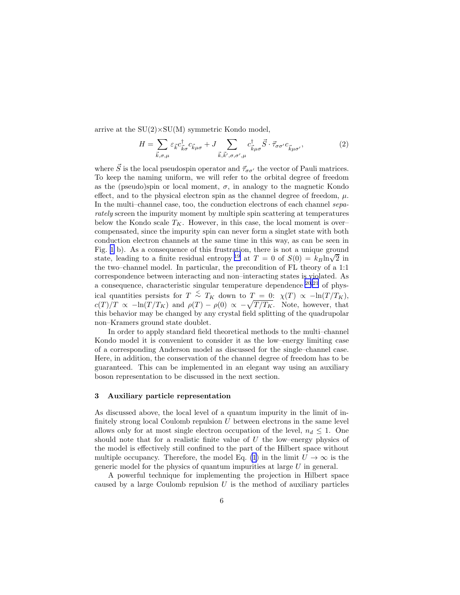arrive at the  $SU(2) \times SU(M)$  symmetric Kondo model,

$$
H = \sum_{\vec{k},\sigma,\mu} \varepsilon_{\vec{k}} c_{\vec{k}\sigma}^{\dagger} c_{\vec{k}\mu\sigma} + J \sum_{\vec{k},\vec{k}',\sigma,\sigma',\mu} c_{\vec{k}\mu\sigma}^{\dagger} \vec{S} \cdot \vec{\tau}_{\sigma\sigma'} c_{\vec{k}\mu\sigma'},
$$
(2)

where  $\vec{S}$  is the local pseudospin operator and  $\vec{\tau}_{\sigma\sigma'}$  the vector of Pauli matrices. To keep the naming uniform, we will refer to the orbital degree of freedom as the (pseudo)spin or local moment,  $\sigma$ , in analogy to the magnetic Kondo effect, and to the physical electron spin as the channel degree of freedom,  $\mu$ . In the multi–channel case, too, the conduction electrons of each channel separately screen the impurity moment by multiple spin scattering at temperatures below the Kondo scale  $T_K$ . However, in this case, the local moment is overcompensated, since the impurity spin can never form a singlet state with both conduction electron channels at the same time in this way, as can be seen in Fig. [1](#page-4-0) b). As a consequence of this frustration, there is not a unique ground state, leading to a finite residual entropy <sup>[19](#page-20-0)</sup> at  $T = 0$  of  $S(0) = k_B \ln\sqrt{2}$  in the two–channel model. In particular, the precondition of FL theory of a 1:1 correspondence between interacting and non–interacting states is violated. As a consequence, characteristic singular temperature dependence <sup>[20](#page-20-0),[21](#page-20-0)</sup> of physical quantities persists for  $T \stackrel{<}{\sim} T_K$  down to  $T = 0$ :  $\chi(T) \propto -\ln(T/T_K)$ ,  $c(T)/T \propto -\ln(T/T_K)$  and  $\rho(T) - \rho(0) \propto -\sqrt{T/T_K}$ . Note, however, that this behavior may be changed by any crystal field splitting of the quadrupolar non–Kramers ground state doublet.

In order to apply standard field theoretical methods to the multi–channel Kondo model it is convenient to consider it as the low–energy limiting case of a corresponding Anderson model as discussed for the single–channel case. Here, in addition, the conservation of the channel degree of freedom has to be guaranteed. This can be implemented in an elegant way using an auxiliary boson representation to be discussed in the next section.

# 3 Auxiliary particle representation

As discussed above, the local level of a quantum impurity in the limit of infinitely strong local Coulomb repulsion  $U$  between electrons in the same level allows only for at most single electron occupation of the level,  $n_d \leq 1$ . One should note that for a realistic finite value of  $U$  the low–energy physics of the model is effectively still confined to the part of the Hilbert space without multiple occupancy. Therefore, the model Eq. [\(1](#page-3-0)) in the limit  $U \to \infty$  is the generic model for the physics of quantum impurities at large U in general.

A powerful technique for implementing the projection in Hilbert space caused by a large Coulomb repulsion  $U$  is the method of auxiliary particles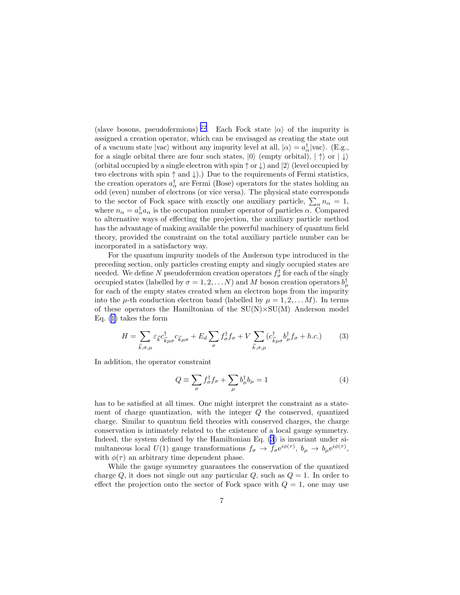(slave bosons, pseudofermions) <sup>[22](#page-20-0)</sup>. Each Fock state  $|\alpha\rangle$  of the impurity is assigned a creation operator, which can be envisaged as creating the state out of a vacuum state  $|vac\rangle$  without any impurity level at all,  $|\alpha\rangle = a^{\dagger}_{\alpha}|vac\rangle$ . (E.g., for a single orbital there are four such states,  $|0\rangle$  (empty orbital),  $|\uparrow\rangle$  or  $|\downarrow\rangle$ (orbital occupied by a single electron with spin  $\uparrow$  or  $\downarrow$ ) and  $|2\rangle$  (level occupied by two electrons with spin  $\uparrow$  and  $\downarrow$ ).) Due to the requirements of Fermi statistics, the creation operators  $a^{\dagger}_{\alpha}$  are Fermi (Bose) operators for the states holding an odd (even) number of electrons (or vice versa). The physical state corresponds to the sector of Fock space with exactly one auxiliary particle,  $\sum_{\alpha} n_{\alpha} = 1$ , where  $n_{\alpha} = a_{\alpha}^{\dagger} a_{\alpha}$  is the occupation number operator of particles  $\alpha$ . Compared to alternative ways of effecting the projection, the auxiliary particle method has the advantage of making available the powerful machinery of quantum field theory, provided the constraint on the total auxiliary particle number can be incorporated in a satisfactory way.

For the quantum impurity models of the Anderson type introduced in the preceding section, only particles creating empty and singly occupied states are needed. We define N pseudofermion creation operators  $f_{\sigma}^{\dagger}$  for each of the singly occupied states (labelled by  $\sigma = 1, 2, \ldots N$ ) and M boson creation operators  $b^{\dagger}_{\mu}$ for each of the empty states created when an electron hops from the impurity into the  $\mu$ -th conduction electron band (labelled by  $\mu = 1, 2, \ldots M$ ). In terms of these operators the Hamiltonian of the  $SU(N) \times SU(M)$  Anderson model Eq.([1\)](#page-3-0) takes the form

$$
H = \sum_{\vec{k},\sigma,\mu} \varepsilon_{\vec{k}} c_{\vec{k}\mu\sigma}^{\dagger} c_{\vec{k}\mu\sigma} + E_d \sum_{\sigma} f_{\sigma}^{\dagger} f_{\sigma} + V \sum_{\vec{k},\sigma,\mu} (c_{\vec{k}\mu\sigma}^{\dagger} b_{\mu}^{\dagger} f_{\sigma} + h.c.) \tag{3}
$$

In addition, the operator constraint

$$
Q \equiv \sum_{\sigma} f_{\sigma}^{\dagger} f_{\sigma} + \sum_{\mu} b_{\mu}^{\dagger} b_{\mu} = 1 \tag{4}
$$

has to be satisfied at all times. One might interpret the constraint as a statement of charge quantization, with the integer  $Q$  the conserved, quantized charge. Similar to quantum field theories with conserved charges, the charge conservation is intimately related to the existence of a local gauge symmetry. Indeed, the system defined by the Hamiltonian Eq. (3) is invariant under simultaneous local  $U(1)$  gauge transformations  $f_{\sigma} \to f_{\sigma} e^{i\phi(\tau)}, b_{\mu} \to b_{\mu} e^{i\phi(\tau)},$ with  $\phi(\tau)$  an arbitrary time dependent phase.

While the gauge symmetry guarantees the conservation of the quantized charge  $Q$ , it does not single out any particular  $Q$ , such as  $Q = 1$ . In order to effect the projection onto the sector of Fock space with  $Q = 1$ , one may use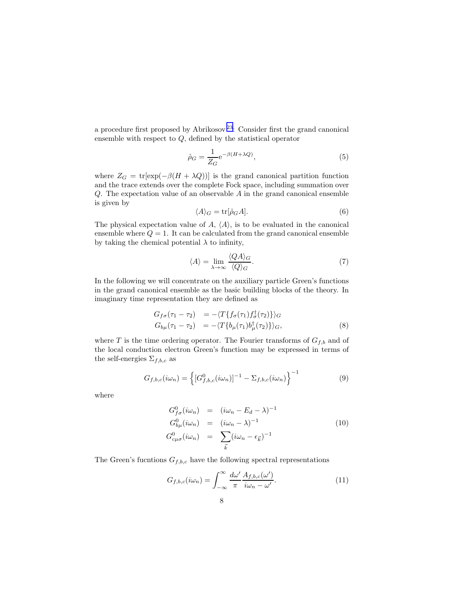<span id="page-7-0"></span>a procedure first proposed by Abrikosov<sup>[23](#page-20-0)</sup>: Consider first the grand canonical ensemble with respect to  $Q$ , defined by the statistical operator

$$
\hat{\rho}_G = \frac{1}{Z_G} e^{-\beta (H + \lambda Q)},\tag{5}
$$

where  $Z_G = \text{tr}[\exp(-\beta(H + \lambda Q))]$  is the grand canonical partition function and the trace extends over the complete Fock space, including summation over Q. The expectation value of an observable A in the grand canonical ensemble is given by

$$
\langle A \rangle_G = \text{tr}[\hat{\rho}_G A]. \tag{6}
$$

The physical expectation value of  $A$ ,  $\langle A \rangle$ , is to be evaluated in the canonical ensemble where  $Q = 1$ . It can be calculated from the grand canonical ensemble by taking the chemical potential  $\lambda$  to infinity,

$$
\langle A \rangle = \lim_{\lambda \to \infty} \frac{\langle QA \rangle_G}{\langle Q \rangle_G}.
$$
 (7)

In the following we will concentrate on the auxiliary particle Green's functions in the grand canonical ensemble as the basic building blocks of the theory. In imaginary time representation they are defined as

$$
G_{f\sigma}(\tau_1 - \tau_2) = -\langle T\{f_{\sigma}(\tau_1)f_{\sigma}^{\dagger}(\tau_2)\}\rangle_G
$$
  
\n
$$
G_{b\mu}(\tau_1 - \tau_2) = -\langle T\{b_{\mu}(\tau_1)b_{\mu}^{\dagger}(\tau_2)\}\rangle_G,
$$
\n(8)

where  $T$  is the time ordering operator. The Fourier transforms of  $G_{f,b}$  and of the local conduction electron Green's function may be expressed in terms of the self-energies  $\Sigma_{f,b,c}$  as

$$
G_{f,b,c}(i\omega_n) = \left\{ [G_{f,b,c}^0(i\omega_n)]^{-1} - \Sigma_{f,b,c}(i\omega_n) \right\}^{-1}
$$
 (9)

where

$$
G_{f\sigma}^{0}(i\omega_{n}) = (i\omega_{n} - E_{d} - \lambda)^{-1}
$$
  
\n
$$
G_{b\mu}^{0}(i\omega_{n}) = (i\omega_{n} - \lambda)^{-1}
$$
  
\n
$$
G_{c\mu\sigma}^{0}(i\omega_{n}) = \sum_{\vec{k}} (i\omega_{n} - \epsilon_{\vec{k}})^{-1}
$$
\n(10)

The Green's fucntions  $G_{f,b,c}$  have the following spectral representations

$$
G_{f,b,c}(i\omega_n) = \int_{-\infty}^{\infty} \frac{d\omega'}{\pi} \frac{A_{f,b,c}(\omega')}{i\omega_n - \omega'}.
$$
 (11)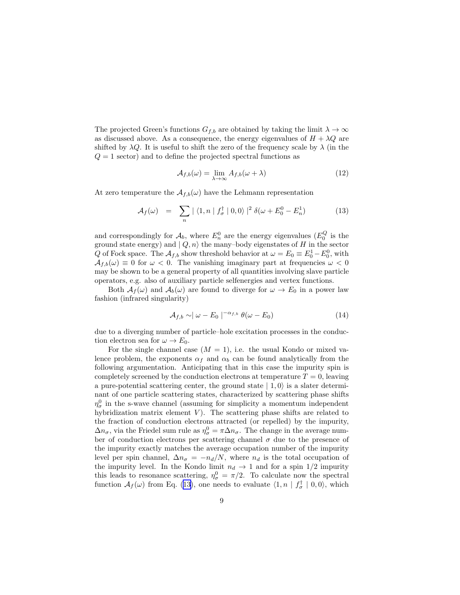The projected Green's functions  $G_{f,b}$  are obtained by taking the limit  $\lambda \to \infty$ as discussed above. As a consequence, the energy eigenvalues of  $H + \lambda Q$  are shifted by  $\lambda Q$ . It is useful to shift the zero of the frequency scale by  $\lambda$  (in the  $Q = 1$  sector) and to define the projected spectral functions as

$$
A_{f,b}(\omega) = \lim_{\lambda \to \infty} A_{f,b}(\omega + \lambda)
$$
 (12)

At zero temperature the  $\mathcal{A}_{f,b}(\omega)$  have the Lehmann representation

$$
\mathcal{A}_f(\omega) = \sum_n |\langle 1, n | f_\sigma^\dagger | 0, 0 \rangle|^2 \delta(\omega + E_0^0 - E_n^1) \tag{13}
$$

and correspondingly for  $\mathcal{A}_b$ , where  $E_n^0$  are the energy eigenvalues  $(E_0^Q$  is the ground state energy) and  $| Q, n \rangle$  the many-body eigenstates of H in the sector Q of Fock space. The  $A_{f,b}$  show threshold behavior at  $\omega = E_0 \equiv E_0^1 - E_0^0$ , with  $A_{f,b}(\omega) \equiv 0$  for  $\omega < 0$ . The vanishing imaginary part at frequencies  $\omega < 0$ may be shown to be a general property of all quantities involving slave particle operators, e.g. also of auxiliary particle selfenergies and vertex functions.

Both  $A_f(\omega)$  and  $A_b(\omega)$  are found to diverge for  $\omega \to E_0$  in a power law fashion (infrared singularity)

$$
\mathcal{A}_{f,b} \sim |\omega - E_0|^{-\alpha_{f,b}} \theta(\omega - E_0)
$$
\n(14)

due to a diverging number of particle–hole excitation processes in the conduction electron sea for  $\omega \to E_0$ .

For the single channel case  $(M = 1)$ , i.e. the usual Kondo or mixed valence problem, the exponents  $\alpha_f$  and  $\alpha_b$  can be found analytically from the following argumentation. Anticipating that in this case the impurity spin is completely screened by the conduction electrons at temperature  $T = 0$ , leaving a pure-potential scattering center, the ground state  $| 1, 0 \rangle$  is a slater determinant of one particle scattering states, characterized by scattering phase shifts  $\eta_{\sigma}^{0}$  in the s-wave channel (assuming for simplicity a momentum independent hybridization matrix element  $V$ ). The scattering phase shifts are related to the fraction of conduction electrons attracted (or repelled) by the impurity,  $\Delta n_{\sigma}$ , via the Friedel sum rule as  $\eta_{\sigma}^0 = \pi \Delta n_{\sigma}$ . The change in the average number of conduction electrons per scattering channel  $\sigma$  due to the presence of the impurity exactly matches the average occupation number of the impurity level per spin channel,  $\Delta n_{\sigma} = -n_d/N$ , where  $n_d$  is the total occupation of the impurity level. In the Kondo limit  $n_d \rightarrow 1$  and for a spin 1/2 impurity this leads to resonance scattering,  $\eta_{\sigma}^0 = \pi/2$ . To calculate now the spectral function  $\mathcal{A}_f(\omega)$  from Eq. (13), one needs to evaluate  $\langle 1, n | f_{\sigma}^{\dagger} | 0, 0 \rangle$ , which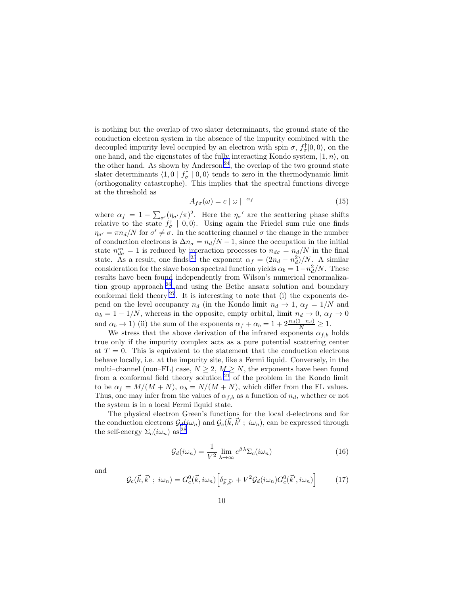is nothing but the overlap of two slater determinants, the ground state of the conduction electron system in the absence of the impurity combined with the decoupled impurity level occupied by an electron with spin  $\sigma$ ,  $f_{\sigma}^{\dagger}|0,0\rangle$ , on the one hand, and the eigenstates of the fully interacting Kondo system,  $|1, n\rangle$ , on the other hand. As shown by Anderson<sup>[24](#page-20-0)</sup>, the overlap of the two ground state slater determinants  $\langle 1, 0 | f_{\sigma}^{\dagger} | 0, 0 \rangle$  tends to zero in the thermodynamic limit (orthogonality catastrophe). This implies that the spectral functions diverge at the threshold as

$$
A_{f\sigma}(\omega) = c \mid \omega \mid^{-\alpha_f} \tag{15}
$$

where  $\alpha_f = 1 - \sum_{\sigma'} (\eta_{\sigma'}/\pi)^2$ . Here the  $\eta_{\sigma'}$  are the scattering phase shifts relative to the state  $f_{\sigma}^{\dagger} \, | \, 0, 0 \rangle$ . Using again the Friedel sum rule one finds  $\eta_{\sigma'} = \pi n_d/N$  for  $\sigma' \neq \sigma$ . In the scattering channel  $\sigma$  the change in the number of conduction electrons is  $\Delta n_{\sigma} = n_d/N - 1$ , since the occupation in the initial state  $n_{d\sigma}^{in} = 1$  is reduced by interaction processes to  $n_{d\sigma} = n_d/N$  in the final state. As a result, one finds <sup>[25](#page-20-0)</sup> the exponent  $\alpha_f = (2n_d - n_d^2)/N$ . A similar consideration for the slave boson spectral function yields  $\alpha_b = 1 - n_d^2/N$ . These results have been found independently from Wilson's numerical renormalization group approach  $26$  and using the Bethe ansatz solution and boundary conformal field theory  $2^7$ . It is interesting to note that (i) the exponents depend on the level occupancy  $n_d$  (in the Kondo limit  $n_d \rightarrow 1$ ,  $\alpha_f = 1/N$  and  $\alpha_b = 1 - 1/N$ , whereas in the opposite, empty orbital, limit  $n_d \to 0$ ,  $\alpha_f \to 0$ and  $\alpha_b \to 1$ ) (ii) the sum of the exponents  $\alpha_f + \alpha_b = 1 + 2 \frac{n_d(1-n_d)}{N} \ge 1$ .

We stress that the above derivation of the infrared exponents  $\alpha_{f,b}$  holds true only if the impurity complex acts as a pure potential scattering center at  $T = 0$ . This is equivalent to the statement that the conduction electrons behave locally, i.e. at the impurity site, like a Fermi liquid. Conversely, in the multi–channel (non–FL) case,  $N \geq 2$ ,  $M \geq N$ , the exponents have been found from a conformal field theory solution<sup>[21](#page-20-0)</sup> of the problem in the Kondo limit to be  $\alpha_f = M/(M+N)$ ,  $\alpha_b = N/(M+N)$ , which differ from the FL values. Thus, one may infer from the values of  $\alpha_{f,b}$  as a function of  $n_d$ , whether or not the system is in a local Fermi liquid state.

The physical electron Green's functions for the local d-electrons and for the conduction electrons  $\mathcal{G}_d(i\omega_n)$  and  $\mathcal{G}_c(\vec{k}, \vec{k}'; i\omega_n)$ , can be expressed through the self-energy  $\Sigma_c(i\omega_n)$  as <sup>[28](#page-20-0)</sup>

$$
\mathcal{G}_d(i\omega_n) = \frac{1}{V^2} \lim_{\lambda \to \infty} e^{\beta \lambda} \Sigma_c(i\omega_n)
$$
 (16)

and

$$
\mathcal{G}_c(\vec{k}, \vec{k}'; i\omega_n) = G_c^0(\vec{k}, i\omega_n) \Big[ \delta_{\vec{k}, \vec{k}'} + V^2 \mathcal{G}_d(i\omega_n) G_c^0(\vec{k}', i\omega_n) \Big] \tag{17}
$$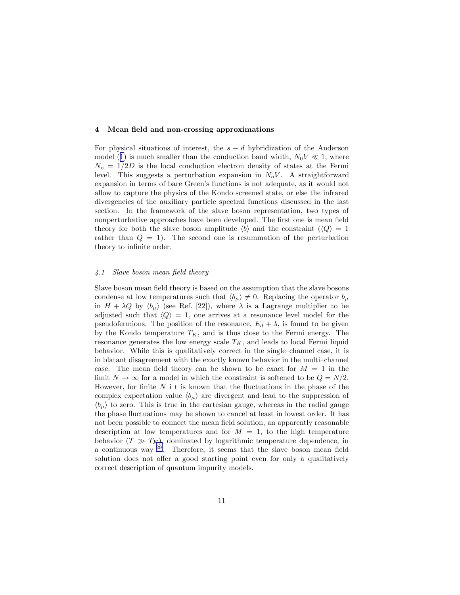### 4 Mean field and non-crossing approximations

For physical situations of interest, the  $s - d$  hybridization of the Anderson model([1\)](#page-3-0) is much smaller than the conduction band width,  $N_0V \ll 1$ , where  $N<sub>o</sub> = 1/2D$  is the local conduction electron density of states at the Fermi level. This suggests a perturbation expansion in  $N_oV$ . A straightforward expansion in terms of bare Green's functions is not adequate, as it would not allow to capture the physics of the Kondo screened state, or else the infrared divergencies of the auxiliary particle spectral functions discussed in the last section. In the framework of the slave boson representation, two types of nonperturbative approaches have been developed. The first one is mean field theory for both the slave boson amplitude  $\langle b \rangle$  and the constraint  $\langle \langle Q \rangle = 1$ rather than  $Q = 1$ . The second one is resummation of the perturbation theory to infinite order.

# 4.1 Slave boson mean field theory

Slave boson mean field theory is based on the assumption that the slave bosons condense at low temperatures such that  $\langle b_{\mu} \rangle \neq 0$ . Replacing the operator  $b_{\mu}$ in  $H + \lambda Q$  by  $\langle b_{\mu} \rangle$  (see Ref. [22]), where  $\lambda$  is a Lagrange multiplier to be adjusted such that  $\langle Q \rangle = 1$ , one arrives at a resonance level model for the pseudofermions. The position of the resonance,  $E_d + \lambda$ , is found to be given by the Kondo temperature  $T_K$ , and is thus close to the Fermi energy. The resonance generates the low energy scale  $T_K$ , and leads to local Fermi liquid behavior. While this is qualitatively correct in the single–channel case, it is in blatant disagreement with the exactly known behavior in the multi–channel case. The mean field theory can be shown to be exact for  $M = 1$  in the limit  $N \to \infty$  for a model in which the constraint is softened to be  $Q = N/2$ . However, for finite  $N$  i t is known that the fluctuations in the phase of the complex expectation value  $\langle b_{\mu} \rangle$  are divergent and lead to the suppression of  $\langle b_\mu \rangle$  to zero. This is true in the cartesian gauge, whereas in the radial gauge the phase fluctuations may be shown to cancel at least in lowest order. It has not been possible to connect the mean field solution, an apparently reasonable description at low temperatures and for  $M = 1$ , to the high temperature behavior  $(T \gg T_K)$ , dominated by logarithmic temperature dependence, in a continuous way [29](#page-20-0). Therefore, it seems that the slave boson mean field solution does not offer a good starting point even for only a qualitatively correct description of quantum impurity models.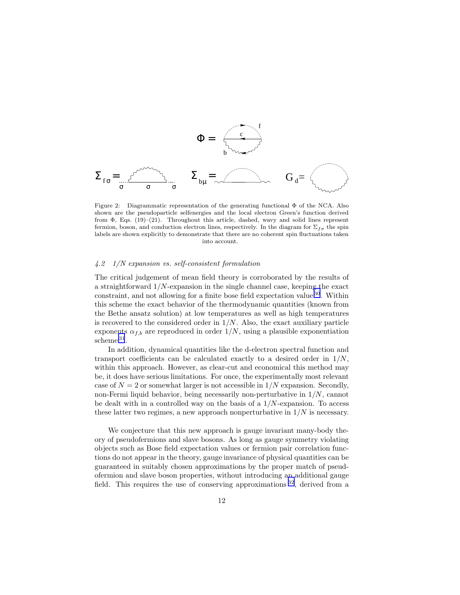<span id="page-11-0"></span>
$$
\Phi = \underbrace{\begin{array}{c}\mathbf{0} \\ \mathbf{0} \end{array}}_{\mathbf{b} \rightarrow \mathbf{0} \rightarrow \mathbf{0}} \mathbf{0} \mathbf{0} \mathbf{0} \mathbf{0}
$$

Figure 2: Diagrammatic representation of the generating functional Φ of the NCA. Also shown are the pseudoparticle selfenergies and the local electron Green's function derived from  $\Phi$ , Eqs. (19)–(21). Throughout this article, dashed, wavy and solid lines represent fermion, boson, and conduction electron lines, respectively. In the diagram for  $\Sigma_{f\sigma}$  the spin labels are shown explicitly to demonstrate that there are no coherent spin fluctuations taken into account.

### 4.2 1/N expansion vs. self-consistent formulation

The critical judgement of mean field theory is corroborated by the results of a straightforward  $1/N$ -expansion in the single channel case, keeping the exact constraint, and not allowing for a finite bose field expectation value  $30$ . Within this scheme the exact behavior of the thermodynamic quantities (known from the Bethe ansatz solution) at low temperatures as well as high temperatures is recovered to the considered order in  $1/N$ . Also, the exact auxiliary particle exponents  $\alpha_{f,b}$  are reproduced in order  $1/N$ , using a plausible exponentiation scheme  $31$ .

In addition, dynamical quantities like the d-electron spectral function and transport coefficients can be calculated exactly to a desired order in  $1/N$ , within this approach. However, as clear-cut and economical this method may be, it does have serious limitations. For once, the experimentally most relevant case of  $N = 2$  or somewhat larger is not accessible in  $1/N$  expansion. Secondly, non-Fermi liquid behavior, being necessarily non-perturbative in  $1/N$ , cannot be dealt with in a controlled way on the basis of a  $1/N$ -expansion. To access these latter two regimes, a new approach nonperturbative in  $1/N$  is necessary.

We conjecture that this new approach is gauge invariant many-body theory of pseudofermions and slave bosons. As long as gauge symmetry violating objects such as Bose field expectation values or fermion pair correlation functions do not appear in the theory, gauge invariance of physical quantities can be guaranteed in suitably chosen approximations by the proper match of pseudofermion and slave boson properties, without introducing an additional gauge field. This requires the use of conserving approximations  $32$ , derived from a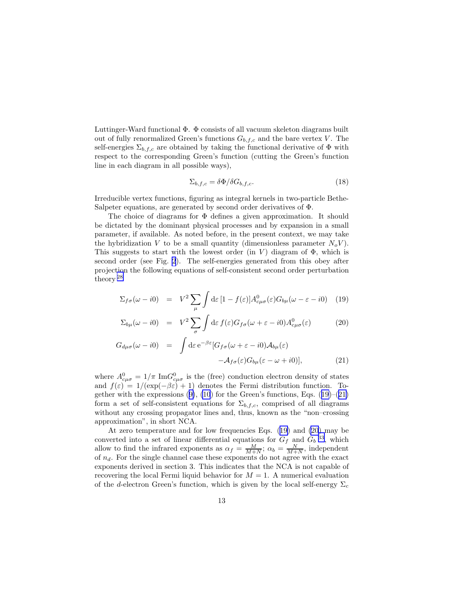<span id="page-12-0"></span>Luttinger-Ward functional  $\Phi$ .  $\Phi$  consists of all vacuum skeleton diagrams built out of fully renormalized Green's functions  $G_{b,f,c}$  and the bare vertex V. The self-energies  $\Sigma_{b,f,c}$  are obtained by taking the functional derivative of  $\Phi$  with respect to the corresponding Green's function (cutting the Green's function line in each diagram in all possible ways),

$$
\Sigma_{b,f,c} = \delta \Phi / \delta G_{b,f,c}.\tag{18}
$$

Irreducible vertex functions, figuring as integral kernels in two-particle Bethe-Salpeter equations, are generated by second order derivatives of Φ.

The choice of diagrams for Φ defines a given approximation. It should be dictated by the dominant physical processes and by expansion in a small parameter, if available. As noted before, in the present context, we may take the hybridization V to be a small quantity (dimensionless parameter  $N_oV$ ). This suggests to start with the lowest order (in V) diagram of  $\Phi$ , which is second order (see Fig. [2](#page-11-0)). The self-energies generated from this obey after projection the following equations of self-consistent second order perturbation theory [28](#page-20-0)

$$
\Sigma_{f\sigma}(\omega - i0) = V^2 \sum_{\mu} \int d\varepsilon \, [1 - f(\varepsilon)] A^0_{c\mu\sigma}(\varepsilon) G_{b\mu}(\omega - \varepsilon - i0) \tag{19}
$$

$$
\Sigma_{b\mu}(\omega - i0) = V^2 \sum_{\sigma} \int d\varepsilon f(\varepsilon) G_{f\sigma}(\omega + \varepsilon - i0) A_{c\mu\sigma}^0(\varepsilon)
$$
 (20)

$$
G_{d\mu\sigma}(\omega - i0) = \int d\varepsilon \, e^{-\beta \varepsilon} [G_{f\sigma}(\omega + \varepsilon - i0) A_{b\mu}(\varepsilon) - A_{f\sigma}(\varepsilon) G_{b\mu}(\varepsilon - \omega + i0)], \tag{21}
$$

where  $A^0_{c\mu\sigma} = 1/\pi \text{ Im} G^0_{c\mu\sigma}$  is the (free) conduction electron density of states and  $f(\varepsilon) = 1/(\exp(-\beta \varepsilon) + 1)$  denotes the Fermi distribution function. Togetherwith the expressions  $(9)$  $(9)$ ,  $(10)$  for the Green's functions, Eqs.  $(19)$ – $(21)$ form a set of self-consistent equations for  $\Sigma_{b,f,c}$ , comprised of all diagrams without any crossing propagator lines and, thus, known as the "non–crossing approximation", in short NCA.

At zero temperature and for low frequencies Eqs. (19) and (20) may be converted into a set of linear differential equations for  $G_f$  and  $G_b$ <sup>[33](#page-20-0)</sup>, which allow to find the infrared exponents as  $\alpha_f = \frac{M}{M+N}$ ;  $\alpha_b = \frac{N}{M+N}$ , independent of  $n_d$ . For the single channel case these exponents do not agree with the exact exponents derived in section 3. This indicates that the NCA is not capable of recovering the local Fermi liquid behavior for  $M = 1$ . A numerical evaluation of the d-electron Green's function, which is given by the local self-energy  $\Sigma_c$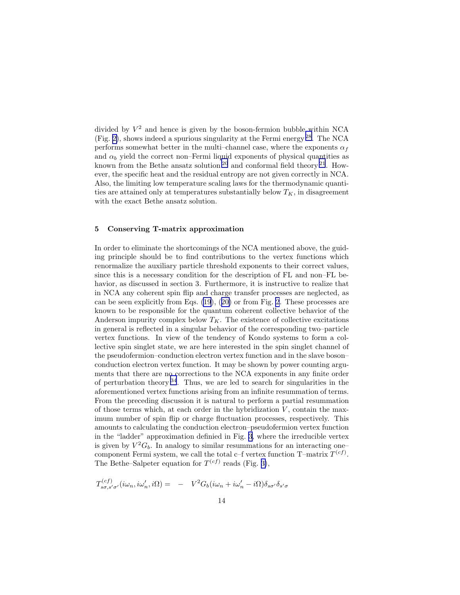<span id="page-13-0"></span>divided by  $V^2$  and hence is given by the boson-fermion bubble within NCA  $(Fig. 2)$  $(Fig. 2)$ , shows indeed a spurious singularity at the Fermi energy <sup>[28](#page-20-0)</sup>. The NCA performs somewhat better in the multi–channel case, where the exponents  $\alpha_f$ and  $\alpha_b$  yield the correct non–Fermi liquid exponents of physical quantities as known from the Bethe ansatz solution  $20$  and conformal field theory  $21$ . However, the specific heat and the residual entropy are not given correctly in NCA. Also, the limiting low temperature scaling laws for the thermodynamic quantities are attained only at temperatures substantially below  $T_K$ , in disagreement with the exact Bethe ansatz solution.

### 5 Conserving T-matrix approximation

In order to eliminate the shortcomings of the NCA mentioned above, the guiding principle should be to find contributions to the vertex functions which renormalize the auxiliary particle threshold exponents to their correct values, since this is a necessary condition for the description of FL and non–FL behavior, as discussed in section 3. Furthermore, it is instructive to realize that in NCA any coherent spin flip and charge transfer processes are neglected, as can be seen explicitly from Eqs. [\(19](#page-12-0)),([20\)](#page-12-0) or from Fig. [2](#page-11-0). These processes are known to be responsible for the quantum coherent collective behavior of the Anderson impurity complex below  $T_K$ . The existence of collective excitations in general is reflected in a singular behavior of the corresponding two–particle vertex functions. In view of the tendency of Kondo systems to form a collective spin singlet state, we are here interested in the spin singlet channel of the pseudofermion–conduction electron vertex function and in the slave boson– conduction electron vertex function. It may be shown by power counting arguments that there are no corrections to the NCA exponents in any finite order of perturbation theory  $3^4$ . Thus, we are led to search for singularities in the aforementioned vertex functions arising from an infinite resummation of terms. From the preceding discussion it is natural to perform a partial resummation of those terms which, at each order in the hybridization  $V$ , contain the maximum number of spin flip or charge fluctuation processes, respectively. This amounts to calculating the conduction electron–pseudofermion vertex function in the "ladder" approximation definied in Fig. [3,](#page-14-0) where the irreducible vertex is given by  $V^2G_b$ . In analogy to similar resummations for an interacting onecomponent Fermi system, we call the total c–f vertex function  $T$ –matrix  $T^{(cf)}$ . The Bethe–Salpeter equation for  $T^{(cf)}$  reads (Fig. [3\)](#page-14-0),

$$
T_{s\sigma,s'\sigma'}^{(cf)}(i\omega_n,i\omega'_n,i\Omega) = -V^2 G_b(i\omega_n+i\omega'_n-i\Omega)\delta_{s\sigma'}\delta_{s'\sigma}
$$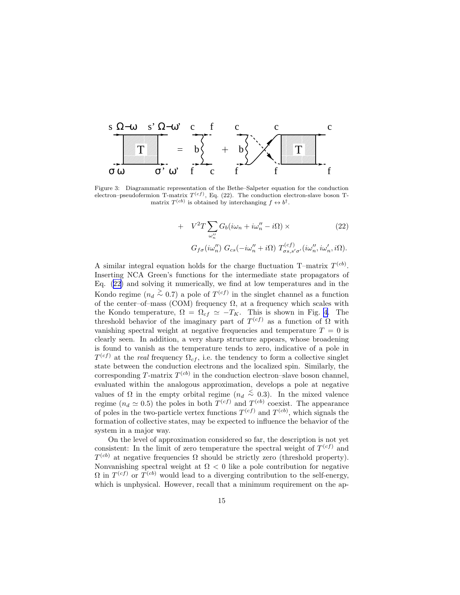<span id="page-14-0"></span>

Figure 3: Diagrammatic representation of the Bethe–Salpeter equation for the conduction electron–pseudofermion T-matrix  $T^{(cf)}$ , Eq. (22). The conduction electron-slave boson Tmatrix  $T^{(cb)}$  is obtained by interchanging  $f \leftrightarrow b^{\dagger}$ .

+ 
$$
V^2 T \sum_{\omega''_n} G_b(i\omega_n + i\omega''_n - i\Omega) \times
$$
 (22)  
 $G_{f\sigma}(i\omega''_n) G_{cs}(-i\omega''_n + i\Omega) T^{(cf)}_{\sigma s, s'\sigma'}(i\omega''_n, i\omega'_n, i\Omega).$ 

A similar integral equation holds for the charge fluctuation T-matrix  $T^{(cb)}$ . Inserting NCA Green's functions for the intermediate state propagators of Eq.([22](#page-13-0)) and solving it numerically, we find at low temperatures and in the Kondo regime  $(n_d \stackrel{>}{\sim} 0.7)$  a pole of  $T^{(cf)}$  in the singlet channel as a function of the center–of–mass (COM) frequency  $\Omega$ , at a frequency which scales with the Kondo temperature,  $\Omega = \Omega_{cf} \simeq -T_K$ . This is shown in Fig. [4](#page-15-0). The threshold behavior of the imaginary part of  $T^{(cf)}$  as a function of  $\Omega$  with vanishing spectral weight at negative frequencies and temperature  $T = 0$  is clearly seen. In addition, a very sharp structure appears, whose broadening is found to vanish as the temperature tends to zero, indicative of a pole in  $T^{(cf)}$  at the real frequency  $\Omega_{cf}$ , i.e. the tendency to form a collective singlet state between the conduction electrons and the localized spin. Similarly, the corresponding T-matrix  $T^{(cb)}$  in the conduction electron-slave boson channel, evaluated within the analogous approximation, develops a pole at negative values of  $\Omega$  in the empty orbital regime  $(n_d \leq 0.3)$ . In the mixed valence regime  $(n_d \simeq 0.5)$  the poles in both  $T^{(cf)}$  and  $T^{(cb)}$  coexist. The appearance of poles in the two-particle vertex functions  $T^{(cf)}$  and  $T^{(cb)}$ , which signals the formation of collective states, may be expected to influence the behavior of the system in a major way.

On the level of approximation considered so far, the description is not yet consistent: In the limit of zero temperature the spectral weight of  $T^{(cf)}$  and  $T^{(cb)}$  at negative frequencies  $\Omega$  should be strictly zero (threshold property). Nonvanishing spectral weight at  $\Omega$  < 0 like a pole contribution for negative  $\Omega$  in  $T^{(cf)}$  or  $T^{(cb)}$  would lead to a diverging contribution to the self-energy, which is unphysical. However, recall that a minimum requirement on the ap-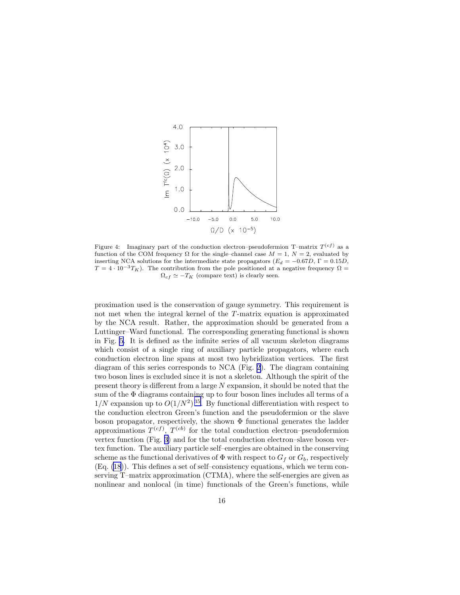<span id="page-15-0"></span>

Figure 4: Imaginary part of the conduction electron-pseudofermion T-matrix  $T^{(cf)}$  as a function of the COM frequency  $\Omega$  for the single–channel case  $M = 1, N = 2$ , evaluated by inserting NCA solutions for the intermediate state propagators ( $E_d = -0.67D$ , Γ = 0.15D,  $T = 4 \cdot 10^{-3} T_K$ ). The contribution from the pole positioned at a negative frequency  $\Omega =$  $\Omega_{cf} \simeq -T_K$  (compare text) is clearly seen.

proximation used is the conservation of gauge symmetry. This requirement is not met when the integral kernel of the T-matrix equation is approximated by the NCA result. Rather, the approximation should be generated from a Luttinger–Ward functional. The corresponding generating functional is shown in Fig. [5](#page-16-0). It is defined as the infinite series of all vacuum skeleton diagrams which consist of a single ring of auxiliary particle propagators, where each conduction electron line spans at most two hybridization vertices. The first diagram of this series corresponds to NCA (Fig. [2](#page-11-0)). The diagram containing two boson lines is excluded since it is not a skeleton. Although the spirit of the present theory is different from a large  $N$  expansion, it should be noted that the sum of the  $\Phi$  diagrams containing up to four boson lines includes all terms of a  $1/N$  expansion up to  $O(1/N^2)^{35}$  $O(1/N^2)^{35}$  $O(1/N^2)^{35}$ . By functional differentiation with respect to the conduction electron Green's function and the pseudofermion or the slave boson propagator, respectively, the shown  $\Phi$  functional generates the ladder approximations  $T^{(cf)}$ ,  $T^{(cb)}$  for the total conduction electron–pseudofermion vertex function (Fig. [3\)](#page-14-0) and for the total conduction electron–slave boson vertex function. The auxiliary particle self–energies are obtained in the conserving scheme as the functional derivatives of  $\Phi$  with respect to  $G_f$  or  $G_b$ , respectively (Eq. [\(18](#page-12-0))). This defines a set of self–consistency equations, which we term conserving T–matrix approximation (CTMA), where the self-energies are given as nonlinear and nonlocal (in time) functionals of the Green's functions, while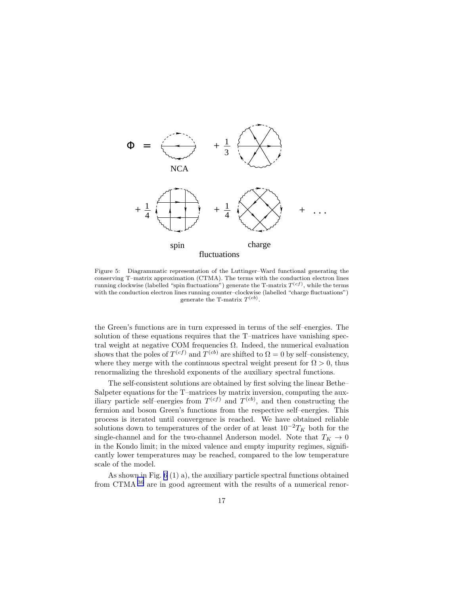<span id="page-16-0"></span>

Figure 5: Diagrammatic representation of the Luttinger–Ward functional generating the conserving T–matrix approximation (CTMA). The terms with the conduction electron lines running clockwise (labelled "spin fluctuations") generate the T-matrix  $T^{(cf)}$ , while the terms with the conduction electron lines running counter–clockwise (labelled "charge fluctuations") generate the T-matrix  $T^{(cb)}$ .

the Green's functions are in turn expressed in terms of the self–energies. The solution of these equations requires that the T–matrices have vanishing spectral weight at negative COM frequencies  $\Omega$ . Indeed, the numerical evaluation shows that the poles of  $T^{(cf)}$  and  $T^{(cb)}$  are shifted to  $\Omega = 0$  by self-consistency, where they merge with the continuous spectral weight present for  $\Omega > 0$ , thus renormalizing the threshold exponents of the auxiliary spectral functions.

The self-consistent solutions are obtained by first solving the linear Bethe– Salpeter equations for the T–matrices by matrix inversion, computing the auxiliary particle self-energies from  $T^{(cf)}$  and  $T^{(cb)}$ , and then constructing the fermion and boson Green's functions from the respective self–energies. This process is iterated until convergence is reached. We have obtained reliable solutions down to temperatures of the order of at least  $10^{-2}T_K$  both for the single-channel and for the two-channel Anderson model. Note that  $T_K \rightarrow 0$ in the Kondo limit; in the mixed valence and empty impurity regimes, significantly lower temperatures may be reached, compared to the low temperature scale of the model.

As shown in Fig. [6](#page-17-0) (1) a), the auxiliary particle spectral functions obtained from CTMA [36](#page-20-0) are in good agreement with the results of a numerical renor-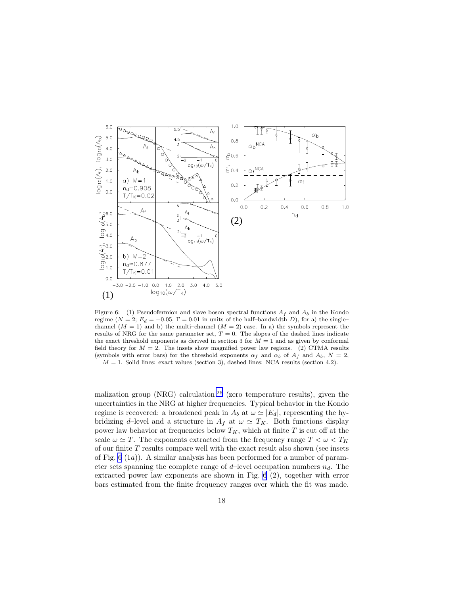<span id="page-17-0"></span>

Figure 6: (1) Pseudofermion and slave boson spectral functions  $A_f$  and  $A_b$  in the Kondo regime ( $N = 2$ ;  $E_d = -0.05$ ,  $\Gamma = 0.01$  in units of the half-bandwidth D), for a) the singlechannel  $(M = 1)$  and b) the multi-channel  $(M = 2)$  case. In a) the symbols represent the results of NRG for the same parameter set,  $T = 0$ . The slopes of the dashed lines indicate the exact threshold exponents as derived in section 3 for  $M = 1$  and as given by conformal field theory for  $M = 2$ . The insets show magnified power law regions. (2) CTMA results (symbols with error bars) for the threshold exponents  $\alpha_f$  and  $\alpha_b$  of  $A_f$  and  $A_b$ ,  $N = 2$ ,  $M = 1$ . Solid lines: exact values (section 3), dashed lines: NCA results (section 4.2).

malization group (NRG) calculation  $26$  (zero temperature results), given the uncertainties in the NRG at higher frequencies. Typical behavior in the Kondo regime is recovered: a broadened peak in  $A_b$  at  $\omega \simeq |E_d|$ , representing the hybridizing d–level and a structure in  $A_f$  at  $\omega \simeq T_K$ . Both functions display power law behavior at frequencies below  $T_K$ , which at finite  $T$  is cut off at the scale  $\omega \simeq T$ . The exponents extracted from the frequency range  $T < \omega < T_K$ of our finite  $T$  results compare well with the exact result also shown (see insets of Fig.  $6 \text{ (}1a\text{)}.$  A similar analysis has been performed for a number of parameter sets spanning the complete range of  $d$ -level occupation numbers  $n_d$ . The extracted power law exponents are shown in Fig. 6 (2), together with error bars estimated from the finite frequency ranges over which the fit was made.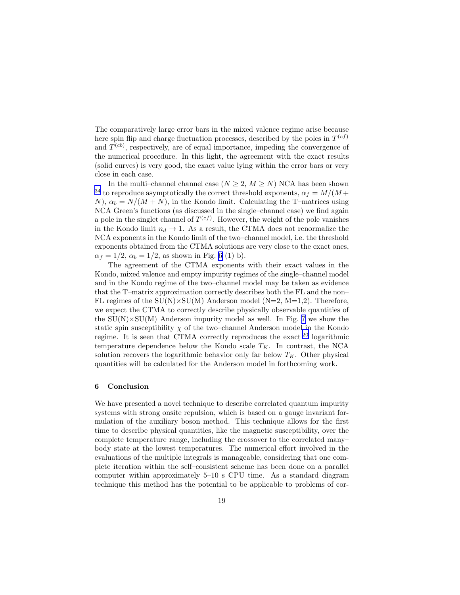The comparatively large error bars in the mixed valence regime arise because here spin flip and charge fluctuation processes, described by the poles in  $T^{(cf)}$ and  $T^{(cb)}$ , respectively, are of equal importance, impeding the convergence of the numerical procedure. In this light, the agreement with the exact results (solid curves) is very good, the exact value lying within the error bars or very close in each case.

In the multi-channel channel case  $(N \geq 2, M \geq N)$  NCA has been shown <sup>[34](#page-20-0)</sup> to reproduce asymptotically the correct threshold exponents,  $\alpha_f = M/(M +$ N),  $\alpha_b = N/(M + N)$ , in the Kondo limit. Calculating the T–matrices using NCA Green's functions (as discussed in the single–channel case) we find again a pole in the singlet channel of  $T^{(cf)}$ . However, the weight of the pole vanishes in the Kondo limit  $n_d \rightarrow 1$ . As a result, the CTMA does not renormalize the NCA exponents in the Kondo limit of the two–channel model, i.e. the threshold exponents obtained from the CTMA solutions are very close to the exact ones,  $\alpha_f = 1/2, \alpha_b = 1/2$ , as shown in Fig. [6](#page-17-0) (1) b).

The agreement of the CTMA exponents with their exact values in the Kondo, mixed valence and empty impurity regimes of the single–channel model and in the Kondo regime of the two–channel model may be taken as evidence that the T–matrix approximation correctly describes both the FL and the non– FL regimes of the  $SU(N) \times SU(M)$  Anderson model (N=2, M=1,2). Therefore, we expect the CTMA to correctly describe physically observable quantities of the  $SU(N) \times SU(M)$  Anderson impurity model as well. In Fig. [7](#page-19-0) we show the static spin susceptibility  $\chi$  of the two–channel Anderson model in the Kondo regime. It is seen that CTMA correctly reproduces the exact  $20$  logarithmic temperature dependence below the Kondo scale  $T_K$ . In contrast, the NCA solution recovers the logarithmic behavior only far below  $T_K$ . Other physical quantities will be calculated for the Anderson model in forthcoming work.

#### 6 Conclusion

We have presented a novel technique to describe correlated quantum impurity systems with strong onsite repulsion, which is based on a gauge invariant formulation of the auxiliary boson method. This technique allows for the first time to describe physical quantities, like the magnetic susceptibility, over the complete temperature range, including the crossover to the correlated many– body state at the lowest temperatures. The numerical effort involved in the evaluations of the multiple integrals is manageable, considering that one complete iteration within the self–consistent scheme has been done on a parallel computer within approximately 5–10 s CPU time. As a standard diagram technique this method has the potential to be applicable to problems of cor-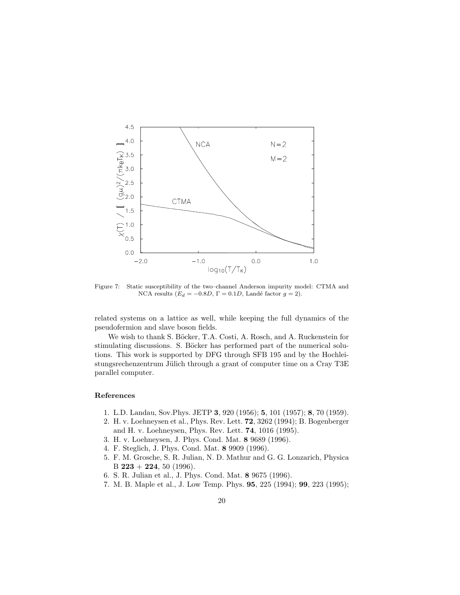<span id="page-19-0"></span>

Figure 7: Static susceptibility of the two–channel Anderson impurity model: CTMA and NCA results ( $E_d = -0.8D$ ,  $\Gamma = 0.1D$ , Landé factor  $g = 2$ ).

related systems on a lattice as well, while keeping the full dynamics of the pseudofermion and slave boson fields.

We wish to thank S. Böcker, T.A. Costi, A. Rosch, and A. Ruckenstein for stimulating discussions. S. Böcker has performed part of the numerical solutions. This work is supported by DFG through SFB 195 and by the Hochleistungsrechenzentrum Jülich through a grant of computer time on a Cray T3E parallel computer.

### References

- 1. L.D. Landau, Sov.Phys. JETP 3, 920 (1956); 5, 101 (1957); 8, 70 (1959).
- 2. H. v. Loehneysen et al., Phys. Rev. Lett. 72, 3262 (1994); B. Bogenberger and H. v. Loehneysen, Phys. Rev. Lett. 74, 1016 (1995).
- 3. H. v. Loehneysen, J. Phys. Cond. Mat. 8 9689 (1996).
- 4. F. Steglich, J. Phys. Cond. Mat. 8 9909 (1996).
- 5. F. M. Grosche, S. R. Julian, N. D. Mathur and G. G. Lonzarich, Physica B  $223 + 224$ , 50 (1996).
- 6. S. R. Julian et al., J. Phys. Cond. Mat. 8 9675 (1996).
- 7. M. B. Maple et al., J. Low Temp. Phys. 95, 225 (1994); 99, 223 (1995);